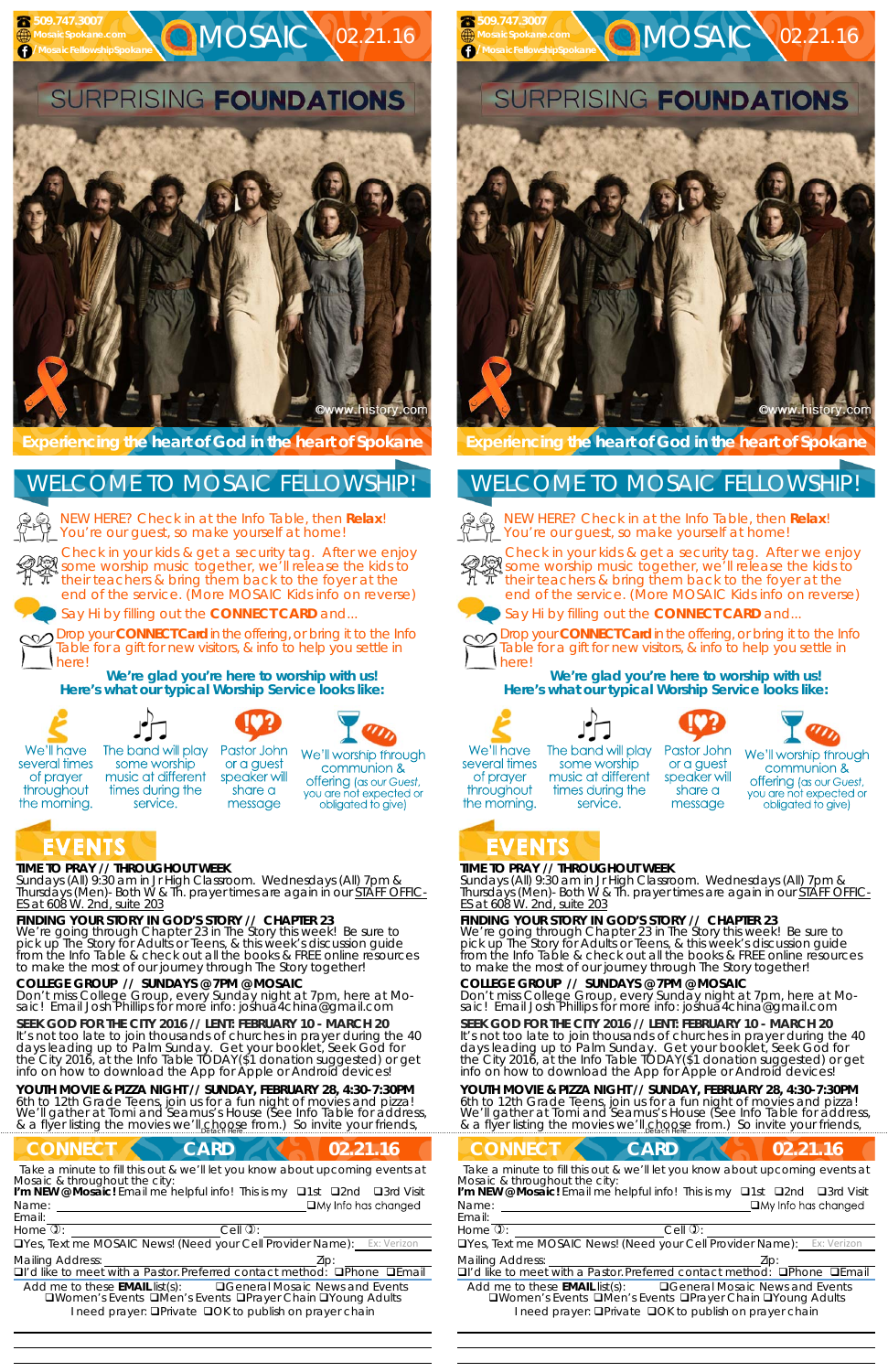#### **TIME TO PRAY // THROUGHOUT WEEK**

*Sundays* (All) 9:30 am in Jr High Classroom. *Wednesdays* (All) 7pm & *Thursdays* (Men)- Both W & Th. prayer times are again in our *STAFF OFFIC-ES at 608 W. 2nd, suite 203*

#### **FINDING YOUR STORY IN GOD'S STORY // CHAPTER 23**

We're going through Chapter 23 in The Story this week! Be sure to pick up The Story for Adults or Teens, & this week's discussion guide from the Info Table & check out all the books & FREE online resources to make the most of our journey through The Story together!

**YOUTH MOVIE & PIZZA NIGHT // SUNDAY, FEBRUARY 28, 4:30-7:30PM**  6th to 12th Grade Teens, join us for a fun night of movies and pizza! We'll gather at Tomi and Seamus's House (See Info Table for address, & a flyer listing the movies we'll choose from.) So invite your friends,

# **CONNECT CARD 102.21.16**

#### **COLLEGE GROUP // SUNDAYS @ 7PM @ MOSAIC**

service.

Don't miss College Group, every Sunday night at 7pm, here at Mosaic! Email Josh Phillips for more info: joshua4china@gmail.com



**Q**MOSAIC 02.21.16



NEW HERE? Check in at the Info Table, then **Relax**! You're our guest, so make yourself at home!

**SEEK GOD FOR THE CITY 2016 // LENT: FEBRUARY 10 - MARCH 20**  It's not too late to join thousands of churches in prayer during the 40 days leading up to Palm Sunday. Get your booklet, *Seek God for the City 2016,* at the Info Table TODAY(\$1 donation suggested) or get info on how to download the App for Apple or Android devices!

Name: I'm NEW @ Mosaic! Email me helpful info! This is my **Q1st Q2nd Q3rd Visit** 

**Experiencing the heart of God in the heart of Spokane** 

Check in your kids & get a security tag. After we enjoy some worship music together, we'll release the kids to their teachers & bring them back to the foyer at the end of the service. (More MOSAIC Kids info on reverse)

Say Hi by filling out the **CONNECT CARD** and...

**YOUTH MOVIE & PIZZA NIGHT // SUNDAY, FEBRUARY 28, 4:30-7:30PM**  6th to 12th Grade Teens, join us for a fun night of movies and pizza! We'll gather at Tomi and Seamus's House (See Info Table for address, & a flyer listing the movies we'll choose from.) So invite your friends,

Drop your **CONNECT Card** in the offering, or bring it to the Info Table for a gift for new visitors, & info to help you settle in here!

share a

message

**We're glad you're here to worship with us! Here's what our typical Worship Service looks like:** 



several times

of prayer

throughout

the morning.



Pastor John The band will play some worship or a guest music at different speaker will times during the

We'll worship through communion & offering (as our Guest, you are not expected or obligated to give)





Cwww.history.com

NEW HERE? Check in at the Info Table, then **Relax**! You're our guest, so make yourself at home!



# WELCOME TO MOSAIC FELLOWSHIP!

Email:

Drop your **CONNECT Card** in the offering, or bring it to the Info Table for a gift for new visitors, & info to help you settle in herel

 **509.747.3007 MosaicSpokane.com f** /MosaicFellowshipSpokan

*Take a minute to fill this out & we'll let you know about upcoming events at Mosaic & throughout the city:* 

*Take a minute to fill this out & we'll let you know about upcoming events at* Name: Email: *Mosaic & throughout the city:*  I'm NEW @ Mosaic! Email me helpful info! This is my **Q1st Q2nd Q3rd Visit** 

**CONNECT CARD 102.21.16** 

Home  $\mathbb{D}$ :  $\qquad \qquad$  Cell  $\mathbb{D}$ : **QYes, Text me MOSAIC News! (Need your Cell Provider Name):** 

 

Home  $\mathbb{D}$ :  $\qquad \qquad$  Cell  $\mathbb{D}$ :

**QYes, Text me MOSAIC News! (Need your Cell Provider Name):** 

Mailing Address: **Mailing Address: 2ip:** 

**I'd like to meet with a Pastor. Preferred contact method: IPhone IEmail** 

Add me to these **EMAIL** list(s): General Mosaic News and Events **QWomen's Events QMen's Events QPrayer Chain QYoung Adults** I need prayer: **OPrivate OOK to publish on prayer chain** 

#### **TIME TO PRAY // THROUGHOUT WEEK**

*Sundays* (All) 9:30 am in Jr High Classroom. *Wednesdays* (All) 7pm & *Thursdays* (Men)- Both W & Th. prayer times are again in our *STAFF OFFIC-ES at 608 W. 2nd, suite 203*

#### **FINDING YOUR STORY IN GOD'S STORY // CHAPTER 23**

We're going through Chapter 23 in The Story this week! Be sure to pick up The Story for Adults or Teens, & this week's discussion guide from the Info Table & check out all the books & FREE online resources to make the most of our journey through The Story together!

### **COLLEGE GROUP // SUNDAYS @ 7PM @ MOSAIC**

Don't miss College Group, every Sunday night at 7pm, here at Mosaic! Email Josh Phillips for more info: joshua4china@gmail.com

#### **SEEK GOD FOR THE CITY 2016 // LENT: FEBRUARY 10 - MARCH 20**  It's not too late to join thousands of churches in prayer during the 40 days leading up to Palm Sunday. Get your booklet, *Seek God for the City 2016,* at the Info Table TODAY(\$1 donation suggested) or get info on how to download the App for Apple or Android devices!

**Experiencing the heart of God in the heart of Spokane** 

Check in your kids & get a security tag. After we enjoy some worship music together, we'll release the kids to their teachers & bring them back to the foyer at the end of the service. (More MOSAIC Kids info on reverse)



Say Hi by filling out the **CONNECT CARD** and...



**We're glad you're here to worship with us! Here's what our typical Worship Service looks like:** 











We'll have several times of prayer throughout the morning.

The band will play some worship music at different times during the service.

Pastor John or a guest speaker will share a message

We'll worship through communion & offering (as our Guest, you are not expected or obligated to give)

# EVENTS

# WELCOME TO MOSAIC FELLOWSHIP!



Mailing Address: Zip:

 

**I'd like to meet with a Pastor. Preferred contact method: IPhone IEmail** 

Add me to these **EMAIL** list(s): General Mosaic News and Events **QWomen's Events QMen's Events QPrayer Chain QYoung Adults** I need prayer: **QPrivate QOK to publish on prayer chain**